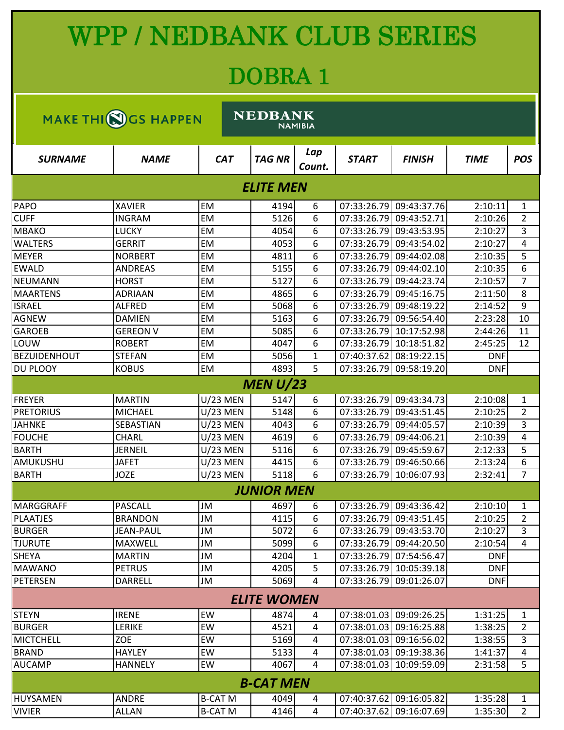## WPP / NEDBANK CLUB SERIES

## DOBRA 1

| <b>NEDBANK</b><br>MAKE THI(S) GS HAPPEN |                  |                 |                   |               |              |                         |             |                |  |  |
|-----------------------------------------|------------------|-----------------|-------------------|---------------|--------------|-------------------------|-------------|----------------|--|--|
| <b>NAMIBIA</b>                          |                  |                 |                   |               |              |                         |             |                |  |  |
| <b>SURNAME</b>                          | <b>NAME</b>      | <b>CAT</b>      | <b>TAG NR</b>     | Lap<br>Count. | <b>START</b> | <b>FINISH</b>           | <b>TIME</b> | <b>POS</b>     |  |  |
| <b>ELITE MEN</b>                        |                  |                 |                   |               |              |                         |             |                |  |  |
| PAPO                                    | <b>XAVIER</b>    | <b>EM</b>       | 4194              | 6             |              | 07:33:26.79 09:43:37.76 | 2:10:11     | 1              |  |  |
| <b>CUFF</b>                             | <b>INGRAM</b>    | EM              | 5126              | 6             | 07:33:26.79  | 09:43:52.71             | 2:10:26     | 2              |  |  |
| <b>MBAKO</b>                            | <b>LUCKY</b>     | EM              | 4054              | 6             | 07:33:26.79  | 09:43:53.95             | 2:10:27     | 3              |  |  |
| <b>WALTERS</b>                          | <b>GERRIT</b>    | <b>EM</b>       | 4053              | 6             | 07:33:26.79  | 09:43:54.02             | 2:10:27     | 4              |  |  |
| <b>MEYER</b>                            | <b>NORBERT</b>   | EM              | 4811              | 6             | 07:33:26.79  | 09:44:02.08             | 2:10:35     | 5              |  |  |
| <b>EWALD</b>                            | <b>ANDREAS</b>   | EM              | 5155              | 6             | 07:33:26.79  | 09:44:02.10             | 2:10:35     | 6              |  |  |
| <b>NEUMANN</b>                          | <b>HORST</b>     | EM              | 5127              | 6             | 07:33:26.79  | 09:44:23.74             | 2:10:57     | $\overline{7}$ |  |  |
| <b>MAARTENS</b>                         | <b>ADRIAAN</b>   | EM              | 4865              | 6             | 07:33:26.79  | 09:45:16.75             | 2:11:50     | 8              |  |  |
| <b>ISRAEL</b>                           | <b>ALFRED</b>    | EM              | 5068              | 6             | 07:33:26.79  | 09:48:19.22             | 2:14:52     | 9              |  |  |
| <b>AGNEW</b>                            | <b>DAMIEN</b>    | EM              | 5163              | 6             | 07:33:26.79  | 09:56:54.40             | 2:23:28     | 10             |  |  |
| <b>GAROEB</b>                           | <b>GEREON V</b>  | EM              | 5085              | 6             | 07:33:26.79  | 10:17:52.98             | 2:44:26     | 11             |  |  |
| LOUW                                    | <b>ROBERT</b>    | <b>EM</b>       | 4047              | 6             | 07:33:26.79  | 10:18:51.82             | 2:45:25     | 12             |  |  |
| <b>BEZUIDENHOUT</b>                     | <b>STEFAN</b>    | EM              | 5056              | 1             | 07:40:37.62  | 08:19:22.15             | <b>DNF</b>  |                |  |  |
| DU PLOOY                                | <b>KOBUS</b>     | <b>EM</b>       | 4893              | 5             | 07:33:26.79  | 09:58:19.20             | <b>DNF</b>  |                |  |  |
|                                         |                  |                 | MEN U/23          |               |              |                         |             |                |  |  |
| <b>FREYER</b>                           | <b>MARTIN</b>    | U/23 MEN        | 5147              | 6             |              | 07:33:26.79 09:43:34.73 | 2:10:08     | 1              |  |  |
| <b>PRETORIUS</b>                        | <b>MICHAEL</b>   | U/23 MEN        | 5148              | 6             | 07:33:26.79  | 09:43:51.45             | 2:10:25     | 2              |  |  |
| <b>JAHNKE</b>                           | SEBASTIAN        | U/23 MEN        | 4043              | 6             | 07:33:26.79  | 09:44:05.57             | 2:10:39     | 3              |  |  |
| <b>FOUCHE</b>                           | <b>CHARL</b>     | <b>U/23 MEN</b> | 4619              | 6             | 07:33:26.79  | 09:44:06.21             | 2:10:39     | 4              |  |  |
| <b>BARTH</b>                            | <b>JERNEIL</b>   | U/23 MEN        | 5116              | 6             | 07:33:26.79  | 09:45:59.67             | 2:12:33     | 5              |  |  |
| AMUKUSHU                                | <b>JAFET</b>     | <b>U/23 MEN</b> | 4415              | 6             | 07:33:26.79  | 09:46:50.66             | 2:13:24     | 6              |  |  |
| <b>BARTH</b>                            | <b>JOZE</b>      | U/23 MEN        | 5118              | 6             | 07:33:26.79  | 10:06:07.93             | 2:32:41     | $\overline{7}$ |  |  |
|                                         |                  |                 | <b>JUNIOR MEN</b> |               |              |                         |             |                |  |  |
| MARGGRAFF                               | <b>PASCALL</b>   | <b>JM</b>       | 4697              | b             |              | 07:33:26.79 09:43:36.42 | 2:10:10     | 1              |  |  |
| <b>PLAATJES</b>                         | <b>BRANDON</b>   | JM              | 4115              | 6             |              | 07:33:26.79 09:43:51.45 | 2:10:25     | $\overline{2}$ |  |  |
| <b>BURGER</b>                           | <b>JEAN-PAUL</b> | JM              | 5072              | 6             |              | 07:33:26.79 09:43:53.70 | 2:10:27     | 3              |  |  |
| <b>TJURUTE</b>                          | MAXWELL          | JM              | 5099              | 6             |              | 07:33:26.79 09:44:20.50 | 2:10:54     | 4              |  |  |
| <b>SHEYA</b>                            | <b>MARTIN</b>    | JM              | 4204              | 1             | 07:33:26.79  | 07:54:56.47             | <b>DNF</b>  |                |  |  |
| <b>MAWANO</b>                           | <b>PETRUS</b>    | JM              | 4205              | 5             | 07:33:26.79  | 10:05:39.18             | <b>DNF</b>  |                |  |  |
| <b>PETERSEN</b>                         | <b>DARRELL</b>   | JM              | 5069              | 4             | 07:33:26.79  | 09:01:26.07             | <b>DNF</b>  |                |  |  |
| <b>ELITE WOMEN</b>                      |                  |                 |                   |               |              |                         |             |                |  |  |
| <b>STEYN</b>                            | <b>IRENE</b>     | EW              | 4874              | 4             |              | 07:38:01.03 09:09:26.25 | 1:31:25     | 1              |  |  |
| <b>BURGER</b>                           | LERIKE           | EW              | 4521              | 4             | 07:38:01.03  | 09:16:25.88             | 1:38:25     | $\overline{2}$ |  |  |
| <b>MICTCHELL</b>                        | ZOE              | EW              | 5169              | 4             |              | 07:38:01.03 09:16:56.02 | 1:38:55     | 3              |  |  |
| <b>BRAND</b>                            | <b>HAYLEY</b>    | EW              | 5133              | 4             |              | 07:38:01.03 09:19:38.36 | 1:41:37     | 4              |  |  |
| <b>AUCAMP</b>                           | <b>HANNELY</b>   | EW              | 4067              | 4             |              | 07:38:01.03 10:09:59.09 | 2:31:58     | 5              |  |  |
|                                         |                  |                 | <b>B-CAT MEN</b>  |               |              |                         |             |                |  |  |
|                                         |                  |                 |                   |               |              |                         |             |                |  |  |
| HUYSAMEN<br><b>VIVIER</b>               | <b>ANDRE</b>     | <b>B-CAT M</b>  | 4049              | 4             |              | 07:40:37.62 09:16:05.82 | 1:35:28     | $\mathbf{1}$   |  |  |
|                                         | <b>ALLAN</b>     | <b>B-CAT M</b>  | 4146              | 4             |              | 07:40:37.62 09:16:07.69 | 1:35:30     | $\overline{2}$ |  |  |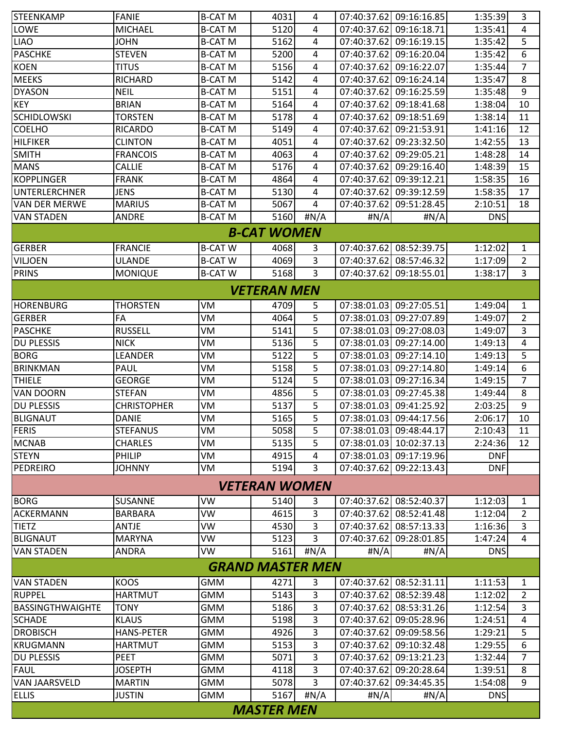| <b>STEENKAMP</b>        | <b>FANIE</b>       | <b>B-CAT M</b> | 4031                 | 4              |                         | 07:40:37.62 09:16:16.85 | 1:35:39    | 3              |  |
|-------------------------|--------------------|----------------|----------------------|----------------|-------------------------|-------------------------|------------|----------------|--|
| LOWE                    | <b>MICHAEL</b>     | <b>B-CAT M</b> | 5120                 | 4              | 07:40:37.62             | 09:16:18.71             | 1:35:41    | 4              |  |
| <b>LIAO</b>             | <b>JOHN</b>        | <b>B-CAT M</b> | 5162                 | 4              |                         | 07:40:37.62 09:16:19.15 | 1:35:42    | 5              |  |
| <b>PASCHKE</b>          | <b>STEVEN</b>      | <b>B-CAT M</b> | 5200                 | 4              | 07:40:37.62             | 09:16:20.04             | 1:35:42    | 6              |  |
| <b>KOEN</b>             | titus              | <b>B-CAT M</b> | 5156                 | 4              | 07:40:37.62             | 09:16:22.07             | 1:35:44    | 7              |  |
| <b>MEEKS</b>            | <b>RICHARD</b>     | <b>B-CAT M</b> | 5142                 | 4              | 07:40:37.62             | 09:16:24.14             | 1:35:47    | 8              |  |
| <b>DYASON</b>           | <b>NEIL</b>        | <b>B-CAT M</b> | 5151                 | $\overline{4}$ | 07:40:37.62             | 09:16:25.59             | 1:35:48    | 9              |  |
| <b>KEY</b>              | <b>BRIAN</b>       | <b>B-CAT M</b> | 5164                 | 4              | 07:40:37.62             | 09:18:41.68             | 1:38:04    | 10             |  |
| <b>SCHIDLOWSKI</b>      | <b>TORSTEN</b>     | <b>B-CAT M</b> | 5178                 | 4              | 07:40:37.62             | 09:18:51.69             | 1:38:14    | 11             |  |
| <b>COELHO</b>           | <b>RICARDO</b>     | <b>B-CAT M</b> | 5149                 | 4              |                         | 07:40:37.62 09:21:53.91 | 1:41:16    | 12             |  |
| <b>HILFIKER</b>         | <b>CLINTON</b>     | <b>B-CAT M</b> | 4051                 | 4              |                         | 07:40:37.62 09:23:32.50 | 1:42:55    | 13             |  |
| <b>SMITH</b>            | <b>FRANCOIS</b>    | <b>B-CAT M</b> | 4063                 | 4              | 07:40:37.62             | 09:29:05.21             | 1:48:28    | 14             |  |
| <b>MANS</b>             | <b>CALLIE</b>      | <b>B-CAT M</b> | 5176                 | 4              | 07:40:37.62             | 09:29:16.40             | 1:48:39    | 15             |  |
| <b>KOPPLINGER</b>       | <b>FRANK</b>       | <b>B-CAT M</b> | 4864                 | 4              |                         | 07:40:37.62 09:39:12.21 | 1:58:35    | 16             |  |
| UNTERLERCHNER           | <b>JENS</b>        | <b>B-CAT M</b> | 5130                 | 4              | 07:40:37.62             | 09:39:12.59             | 1:58:35    | 17             |  |
| <b>VAN DER MERWE</b>    | <b>MARIUS</b>      | <b>B-CAT M</b> | 5067                 | 4              | 07:40:37.62             | 09:51:28.45             | 2:10:51    | 18             |  |
| <b>VAN STADEN</b>       | ANDRE              | <b>B-CAT M</b> | 5160                 | # $N/A$        | #N/A                    | #N/A                    | <b>DNS</b> |                |  |
|                         |                    |                | <b>B-CAT WOMEN</b>   |                |                         |                         |            |                |  |
| <b>GERBER</b>           | <b>FRANCIE</b>     | <b>B-CATW</b>  | 4068                 | 3              |                         | 07:40:37.62 08:52:39.75 | 1:12:02    | 1              |  |
| <b>VILJOEN</b>          | <b>ULANDE</b>      | <b>B-CATW</b>  | 4069                 | 3              |                         | 07:40:37.62 08:57:46.32 | 1:17:09    | 2              |  |
| <b>PRINS</b>            | <b>MONIQUE</b>     | <b>B-CAT W</b> | 5168                 | 3              | 07:40:37.62 09:18:55.01 |                         | 1:38:17    | 3              |  |
|                         |                    |                |                      |                |                         |                         |            |                |  |
|                         |                    |                | VETERAN MEN          |                |                         |                         |            |                |  |
| <b>HORENBURG</b>        | <b>THORSTEN</b>    | VM             | 4709                 | 5              |                         | 07:38:01.03 09:27:05.51 | 1:49:04    | 1              |  |
| <b>GERBER</b>           | FA                 | VM             | 4064                 | 5              |                         | 07:38:01.03 09:27:07.89 | 1:49:07    | $\overline{2}$ |  |
| <b>PASCHKE</b>          | <b>RUSSELL</b>     | VM             | 5141                 | 5              |                         | 07:38:01.03 09:27:08.03 | 1:49:07    | 3              |  |
| <b>DU PLESSIS</b>       | <b>NICK</b>        | VM             | 5136                 | 5              | 07:38:01.03             | 09:27:14.00             | 1:49:13    | $\overline{4}$ |  |
| <b>BORG</b>             | LEANDER            | VM             | 5122                 | 5              |                         | 07:38:01.03 09:27:14.10 | 1:49:13    | 5              |  |
| <b>BRINKMAN</b>         | <b>PAUL</b>        | VM             | 5158                 | 5              |                         | 07:38:01.03 09:27:14.80 | 1:49:14    | 6              |  |
| <b>THIELE</b>           | <b>GEORGE</b>      | VM             | 5124                 | 5              | 07:38:01.03             | 09:27:16.34             | 1:49:15    | 7              |  |
| <b>VAN DOORN</b>        | <b>STEFAN</b>      | VM             | 4856                 | 5              | 07:38:01.03             | 09:27:45.38             | 1:49:44    | 8              |  |
| <b>DU PLESSIS</b>       | <b>CHRISTOPHER</b> | VM             | 5137                 | 5              | 07:38:01.03             | 09:41:25.92             | 2:03:25    | 9              |  |
| <b>BLIGNAUT</b>         | <b>DANIE</b>       | VM             | 5165                 | 5              |                         | 07:38:01.03 09:44:17.56 | 2:06:17    | 10             |  |
| <b>FERIS</b>            | <b>STEFANUS</b>    | VM             | 5058                 | 5              |                         | 07:38:01.03 09:48:44.17 | 2:10:43    | 11             |  |
| <b>MCNAB</b>            | <b>CHARLES</b>     | VM             | 5135                 | 5              | 07:38:01.03 10:02:37.13 |                         | 2:24:36    | 12             |  |
| <b>STEYN</b>            | PHILIP             | VM             | 4915                 | 4              |                         | 07:38:01.03 09:17:19.96 | <b>DNF</b> |                |  |
| PEDREIRO                | <b>JOHNNY</b>      | VM             | 5194                 | 3              | 07:40:37.62 09:22:13.43 |                         | <b>DNF</b> |                |  |
|                         |                    |                | <b>VETERAN WOMEN</b> |                |                         |                         |            |                |  |
| <b>BORG</b>             | <b>SUSANNE</b>     | ۷W             | 5140                 | 3              |                         | 07:40:37.62 08:52:40.37 | 1:12:03    | 1              |  |
| ACKERMANN               | <b>BARBARA</b>     | VW             | 4615                 | 3              | 07:40:37.62             | 08:52:41.48             | 1:12:04    | 2              |  |
| <b>TIETZ</b>            | <b>ANTJE</b>       | VW             | 4530                 | 3              | 07:40:37.62             | 08:57:13.33             | 1:16:36    | 3              |  |
| <b>BLIGNAUT</b>         | <b>MARYNA</b>      | VW             | 5123                 | 3              | 07:40:37.62             | 09:28:01.85             | 1:47:24    | 4              |  |
| <b>VAN STADEN</b>       | <b>ANDRA</b>       | VW             | 5161                 | # $N/A$        | #N/A                    | #N/A                    | <b>DNS</b> |                |  |
| <b>GRAND MASTER MEN</b> |                    |                |                      |                |                         |                         |            |                |  |
|                         |                    |                |                      |                |                         |                         |            |                |  |
| <b>VAN STADEN</b>       | <b>KOOS</b>        | GMM            | 4271                 | 3              |                         | 07:40:37.62 08:52:31.11 | 1:11:53    | 1              |  |
| <b>RUPPEL</b>           | <b>HARTMUT</b>     | <b>GMM</b>     | 5143                 | 3              |                         | 07:40:37.62 08:52:39.48 | 1:12:02    | $\overline{2}$ |  |
| <b>BASSINGTHWAIGHTE</b> | <b>TONY</b>        | <b>GMM</b>     | 5186                 | 3              |                         | 07:40:37.62 08:53:31.26 | 1:12:54    | 3              |  |
| <b>SCHADE</b>           | <b>KLAUS</b>       | GMM            | 5198                 | 3              | 07:40:37.62             | 09:05:28.96             | 1:24:51    | 4              |  |
| <b>DROBISCH</b>         | <b>HANS-PETER</b>  | <b>GMM</b>     | 4926                 | 3              | 07:40:37.62             | 09:09:58.56             | 1:29:21    | 5              |  |
| <b>KRUGMANN</b>         | <b>HARTMUT</b>     | <b>GMM</b>     | 5153                 | 3              |                         | 07:40:37.62 09:10:32.48 | 1:29:55    | 6              |  |
| <b>DU PLESSIS</b>       | <b>PEET</b>        | GMM            | 5071                 | 3              | 07:40:37.62             | 09:13:21.23             | 1:32:44    | 7              |  |
| <b>FAUL</b>             | <b>JOSEPTH</b>     | GMM            | 4118                 | 3              | 07:40:37.62             | 09:20:28.64             | 1:39:51    | 8              |  |
| VAN JAARSVELD           | <b>MARTIN</b>      | <b>GMM</b>     | 5078                 | 3              | 07:40:37.62             | 09:34:45.35             | 1:54:08    | 9              |  |
| <b>ELLIS</b>            | <b>JUSTIN</b>      | GMM            | 5167                 | H N/A          | #N/A                    | #N/A                    | <b>DNS</b> |                |  |
| <b>MASTER MEN</b>       |                    |                |                      |                |                         |                         |            |                |  |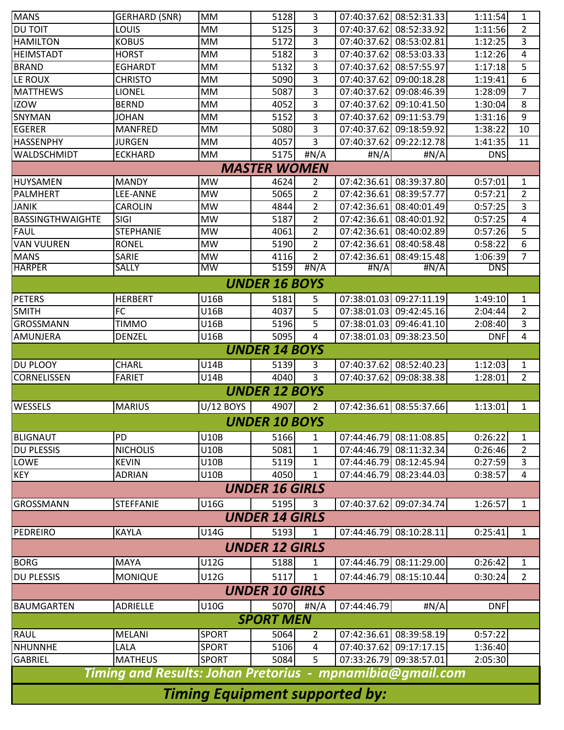| <b>MANS</b>                                                                                 | <b>GERHARD (SNR)</b>  | <b>MM</b>                    | 5128                  | 3                   |                         | 07:40:37.62 08:52:31.33 | 1:11:54            | 1                   |  |
|---------------------------------------------------------------------------------------------|-----------------------|------------------------------|-----------------------|---------------------|-------------------------|-------------------------|--------------------|---------------------|--|
| <b>DU TOIT</b>                                                                              | LOUIS                 | <b>MM</b>                    | 5125                  | 3                   | 07:40:37.62             | 08:52:33.92             | 1:11:56            | 2                   |  |
| <b>HAMILTON</b>                                                                             | <b>KOBUS</b>          | <b>MM</b>                    | 5172                  | 3                   | 07:40:37.62             | 08:53:02.81             | 1:12:25            | 3                   |  |
| <b>HEIMSTADT</b>                                                                            | <b>HORST</b>          | <b>MM</b>                    | 5182                  | 3                   | 07:40:37.62             | 08:53:03.33             | 1:12:26            | 4                   |  |
| <b>BRAND</b>                                                                                | <b>EGHARDT</b>        | MМ                           | 5132                  | 3                   | 07:40:37.62             | 08:57:55.97             | 1:17:18            | 5                   |  |
| LE ROUX                                                                                     | <b>CHRISTO</b>        | <b>MM</b>                    | 5090                  | 3                   | 07:40:37.62             | 09:00:18.28             | 1:19:41            | 6                   |  |
| <b>MATTHEWS</b>                                                                             | <b>LIONEL</b>         | <b>MM</b>                    | 5087                  | 3                   | 07:40:37.62             | 09:08:46.39             | 1:28:09            | 7                   |  |
| <b>IZOW</b>                                                                                 | <b>BERND</b>          | <b>MM</b>                    | 4052                  | 3                   | 07:40:37.62             | 09:10:41.50             | 1:30:04            | 8                   |  |
| SNYMAN                                                                                      | <b>JOHAN</b>          | MМ                           | 5152                  | 3                   | 07:40:37.62             | 09:11:53.79             | 1:31:16            | 9                   |  |
| <b>EGERER</b>                                                                               | <b>MANFRED</b>        | MM                           | 5080                  | 3                   | 07:40:37.62             | 09:18:59.92             | 1:38:22            | 10                  |  |
| <b>HASSENPHY</b>                                                                            | <b>JURGEN</b>         | MM                           | 4057                  | 3                   | 07:40:37.62             | 09:22:12.78             | 1:41:35            | 11                  |  |
| MM<br>5175<br><b>WALDSCHMIDT</b><br><b>ECKHARD</b><br>#N/A<br># $N/A$<br>#N/A<br><b>DNS</b> |                       |                              |                       |                     |                         |                         |                    |                     |  |
|                                                                                             |                       |                              | <b>MASTER WOMEN</b>   |                     |                         |                         |                    |                     |  |
| HUYSAMEN                                                                                    | <b>MANDY</b>          | <b>MW</b>                    | 4624                  | $\overline{2}$      |                         | 07:42:36.61 08:39:37.80 | 0:57:01            | $\mathbf{1}$        |  |
| <b>PALMHERT</b>                                                                             | LEE-ANNE              | <b>MW</b>                    | 5065                  | $\overline{2}$      | 07:42:36.61             | 08:39:57.77             | 0:57:21            | $\overline{2}$      |  |
| <b>JANIK</b>                                                                                | <b>CAROLIN</b>        | <b>MW</b>                    | 4844                  | $\overline{2}$      | 07:42:36.61             | 08:40:01.49             | 0:57:25            | 3                   |  |
| <b>BASSINGTHWAIGHTE</b>                                                                     | <b>SIGI</b>           | <b>MW</b>                    | 5187                  | $\overline{2}$      | 07:42:36.61             | 08:40:01.92             | 0:57:25            | 4                   |  |
| <b>FAUL</b>                                                                                 | <b>STEPHANIE</b>      | <b>MW</b>                    | 4061                  | $\overline{2}$      | 07:42:36.61             | 08:40:02.89             | 0:57:26            | 5                   |  |
| <b>VAN VUUREN</b>                                                                           | <b>RONEL</b>          | <b>MW</b>                    | 5190                  | $\overline{2}$      | 07:42:36.61             | 08:40:58.48             | 0:58:22            | 6                   |  |
| <b>MANS</b>                                                                                 | SARIE                 | <b>MW</b><br><b>MW</b>       | 4116                  | $\overline{2}$      | 07:42:36.61             | 08:49:15.48             | 1:06:39            | $\overline{7}$      |  |
| <b>HARPER</b>                                                                               | <b>SALLY</b>          |                              | 5159                  | $\frac{H}{A}$       | #N/A                    | #N/A                    | <b>DNS</b>         |                     |  |
|                                                                                             |                       |                              | <b>UNDER 16 BOYS</b>  |                     |                         |                         |                    |                     |  |
| <b>PETERS</b>                                                                               | <b>HERBERT</b>        | <b>U16B</b>                  | 5181                  | 5                   | 07:38:01.03             | 09:27:11.19             | 1:49:10            | 1                   |  |
| <b>SMITH</b>                                                                                | FC                    | U16B                         | 4037                  | 5                   | 07:38:01.03             | 09:42:45.16             | 2:04:44            | $\overline{2}$      |  |
| <b>GROSSMANN</b>                                                                            | <b>TIMMO</b>          | U16B                         | 5196                  | 5                   | 07:38:01.03             | 09:46:41.10             | 2:08:40            | 3                   |  |
| AMUNJERA                                                                                    | <b>DENZEL</b>         | U16B                         | 5095                  | 4                   | 07:38:01.03             | 09:38:23.50             | <b>DNF</b>         | 4                   |  |
|                                                                                             |                       |                              | <b>UNDER 14 BOYS</b>  |                     |                         |                         |                    |                     |  |
| <b>DU PLOOY</b>                                                                             | <b>CHARL</b>          | <b>U14B</b>                  | 5139                  | 3                   | 07:40:37.62             | 08:52:40.23             | 1:12:03            | 1                   |  |
| <b>CORNELISSEN</b>                                                                          | <b>FARIET</b>         | U14B                         | 4040                  | 3                   |                         | 07:40:37.62 09:08:38.38 | 1:28:01            | $\overline{2}$      |  |
|                                                                                             |                       |                              | <b>UNDER 12 BOYS</b>  |                     |                         |                         |                    |                     |  |
| <b>WESSELS</b>                                                                              | <b>MARIUS</b>         | <b>U/12 BOYS</b>             | 4907                  | $\overline{2}$      |                         | 07:42:36.61 08:55:37.66 | 1:13:01            | 1                   |  |
|                                                                                             |                       |                              | <b>UNDER 10 BOYS</b>  |                     |                         |                         |                    |                     |  |
| <b>BLIGNAUT</b>                                                                             | PD                    | U10B                         | 5166                  |                     | 07:44:46.79 08:11:08.85 |                         | 0:26:22            |                     |  |
| <b>DU PLESSIS</b>                                                                           | <b>NICHOLIS</b>       | U10B                         | 5081                  | 1<br>$\mathbf{1}$   | 07:44:46.79 08:11:32.34 |                         | 0:26:46            | 1<br>$\overline{2}$ |  |
| <b>LOWE</b>                                                                                 | <b>KEVIN</b>          | U10B                         | 5119                  | $\mathbf{1}$        |                         | 07:44:46.79 08:12:45.94 | 0:27:59            | 3                   |  |
| <b>KEY</b>                                                                                  | <b>ADRIAN</b>         | <b>U10B</b>                  | 4050                  | $\mathbf{1}$        | 07:44:46.79 08:23:44.03 |                         | 0:38:57            | 4                   |  |
|                                                                                             |                       |                              | <b>UNDER 16 GIRLS</b> |                     |                         |                         |                    |                     |  |
|                                                                                             |                       |                              |                       |                     |                         |                         |                    |                     |  |
| <b>GROSSMANN</b>                                                                            | <b>STEFFANIE</b>      | U16G                         | 5195                  | 3                   |                         | 07:40:37.62 09:07:34.74 | 1:26:57            | 1                   |  |
|                                                                                             |                       |                              | <b>UNDER 14 GIRLS</b> |                     |                         |                         |                    |                     |  |
| PEDREIRO                                                                                    | <b>KAYLA</b>          | U14G                         | 5193                  | 1                   |                         | 07:44:46.79 08:10:28.11 | 0:25:41            | 1                   |  |
| <b>UNDER 12 GIRLS</b>                                                                       |                       |                              |                       |                     |                         |                         |                    |                     |  |
| <b>BORG</b>                                                                                 | <b>MAYA</b>           | U12G                         | 5188                  | 1                   |                         | 07:44:46.79 08:11:29.00 | 0:26:42            | $\mathbf{1}$        |  |
| <b>DU PLESSIS</b>                                                                           | <b>MONIQUE</b>        | U12G                         | 5117                  | $\mathbf{1}$        |                         | 07:44:46.79 08:15:10.44 | 0:30:24            | $\overline{2}$      |  |
|                                                                                             |                       |                              | <b>UNDER 10 GIRLS</b> |                     |                         |                         |                    |                     |  |
| <b>BAUMGARTEN</b>                                                                           | ADRIELLE              | U10G                         | 5070                  | #N/A                | 07:44:46.79             | #N/A                    | <b>DNF</b>         |                     |  |
| <b>SPORT MEN</b>                                                                            |                       |                              |                       |                     |                         |                         |                    |                     |  |
| 07:42:36.61 08:39:58.19                                                                     |                       |                              |                       |                     |                         |                         |                    |                     |  |
| RAUL<br><b>NHUNNHE</b>                                                                      | <b>MELANI</b><br>LALA | <b>SPORT</b>                 | 5064<br>5106          | 2                   | 07:40:37.62 09:17:17.15 |                         | 0:57:22<br>1:36:40 |                     |  |
| <b>GABRIEL</b>                                                                              | <b>MATHEUS</b>        | <b>SPORT</b><br><b>SPORT</b> | 5084                  | 4<br>5 <sup>1</sup> |                         | 07:33:26.79 09:38:57.01 | 2:05:30            |                     |  |
|                                                                                             |                       |                              |                       |                     |                         |                         |                    |                     |  |
| Timing and Results: Johan Pretorius - mpnamibia@gmail.com                                   |                       |                              |                       |                     |                         |                         |                    |                     |  |
| <b>Timing Equipment supported by:</b>                                                       |                       |                              |                       |                     |                         |                         |                    |                     |  |